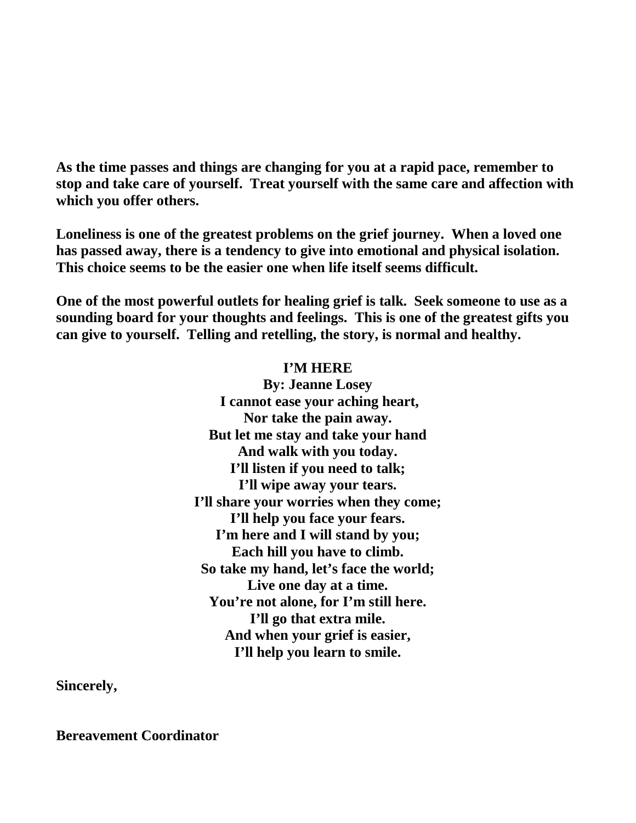**As the time passes and things are changing for you at a rapid pace, remember to stop and take care of yourself. Treat yourself with the same care and affection with which you offer others.**

**Loneliness is one of the greatest problems on the grief journey. When a loved one has passed away, there is a tendency to give into emotional and physical isolation. This choice seems to be the easier one when life itself seems difficult.**

**One of the most powerful outlets for healing grief is talk. Seek someone to use as a sounding board for your thoughts and feelings. This is one of the greatest gifts you can give to yourself. Telling and retelling, the story, is normal and healthy.**

## **I'M HERE**

**By: Jeanne Losey I cannot ease your aching heart, Nor take the pain away. But let me stay and take your hand And walk with you today. I'll listen if you need to talk; I'll wipe away your tears. I'll share your worries when they come; I'll help you face your fears. I'm here and I will stand by you; Each hill you have to climb. So take my hand, let's face the world; Live one day at a time. You're not alone, for I'm still here. I'll go that extra mile. And when your grief is easier, I'll help you learn to smile.** 

**Sincerely,**

**Bereavement Coordinator**